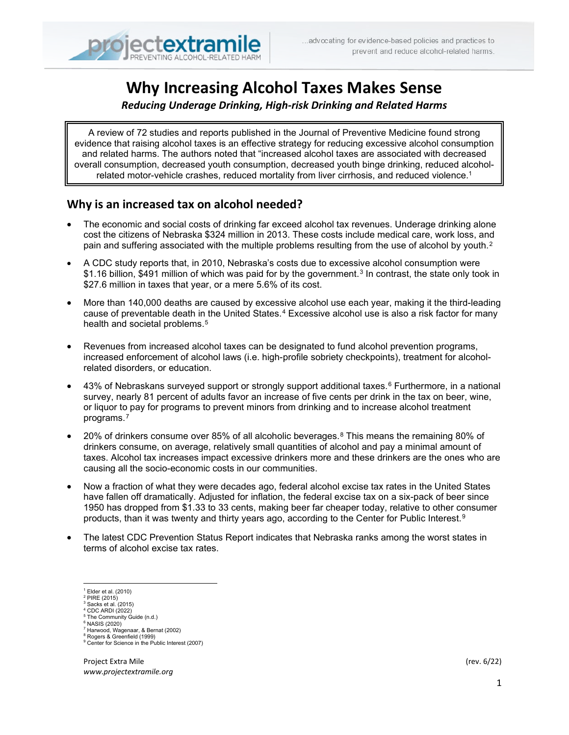# **Why Increasing Alcohol Taxes Makes Sense**

*Reducing Underage Drinking, High-risk Drinking and Related Harms*

A review of 72 studies and reports published in the Journal of Preventive Medicine found strong evidence that raising alcohol taxes is an effective strategy for reducing excessive alcohol consumption and related harms. The authors noted that "increased alcohol taxes are associated with decreased overall consumption, decreased youth consumption, decreased youth binge drinking, reduced alcoholrelated motor-vehicle crashes, reduced mortality from liver cirrhosis, and reduced violence.<sup>1</sup>

## **Why is an increased tax on alcohol needed? [1](#page-0-0)**

- The economic and social costs of drinking far exceed alcohol tax revenues. Underage drinking alone cost the citizens of Nebraska \$324 million in 2013. These costs include medical care, work loss, and pain and suffering associated with the multiple problems resulting from the use of alcohol by youth.<sup>[2](#page-0-1)</sup>
- A CDC study reports that, in 2010, Nebraska's costs due to excessive alcohol consumption were \$1.16 billion, \$491 million of which was paid for by the government.<sup>[3](#page-0-2)</sup> In contrast, the state only took in \$27.6 million in taxes that year, or a mere 5.6% of its cost.
- More than 140,000 deaths are caused by excessive alcohol use each year, making it the third-leading cause of preventable death in the United States.<sup>[4](#page-0-3)</sup> Excessive alcohol use is also a risk factor for many health and societal problems.<sup>[5](#page-0-4)</sup>
- Revenues from increased alcohol taxes can be designated to fund alcohol prevention programs, increased enforcement of alcohol laws (i.e. high-profile sobriety checkpoints), treatment for alcoholrelated disorders, or education.
- 43% of Nebraskans surveyed support or strongly support additional taxes.<sup>[6](#page-0-5)</sup> Furthermore, in a national survey, nearly 81 percent of adults favor an increase of five cents per drink in the tax on beer, wine, or liquor to pay for programs to prevent minors from drinking and to increase alcohol treatment programs.[7](#page-0-6)
- 20% of drinkers consume over 85% of all alcoholic beverages.[8](#page-0-7) This means the remaining 80% of drinkers consume, on average, relatively small quantities of alcohol and pay a minimal amount of taxes. Alcohol tax increases impact excessive drinkers more and these drinkers are the ones who are causing all the socio-economic costs in our communities.
- Now a fraction of what they were decades ago, federal alcohol excise tax rates in the United States have fallen off dramatically. Adjusted for inflation, the federal excise tax on a six-pack of beer since 1950 has dropped from \$1.33 to 33 cents, making beer far cheaper today, relative to other consumer products, than it was twenty and thirty years ago, according to the Center for Public Interest.<sup>[9](#page-0-8)</sup>
- The latest CDC Prevention Status Report indicates that Nebraska ranks among the worst states in terms of alcohol excise tax rates.

- 
- <span id="page-0-5"></span><span id="page-0-4"></span><span id="page-0-3"></span><sup>5</sup> The Community Guide (n.d.)<br><sup>6</sup> NASIS (2020)<br><sup>7</sup> Harwood, Wagenaar, & Bernat (2002)<br><sup>8</sup> Rogers & Greenfield (1999)
- <span id="page-0-7"></span><span id="page-0-6"></span>

<span id="page-0-1"></span><span id="page-0-0"></span> $<sup>1</sup>$  Elder et al. (2010)</sup>

<span id="page-0-2"></span>

 $\frac{2 \text{ PIRE}}{3 \text{ Sacks et al.} (2015)}$ <br>  $\frac{3 \text{ Sacks et al.} (2015)}{2 \text{ CDC} (2022)}$ 

<span id="page-0-8"></span><sup>&</sup>lt;sup>9</sup> Center for Science in the Public Interest (2007)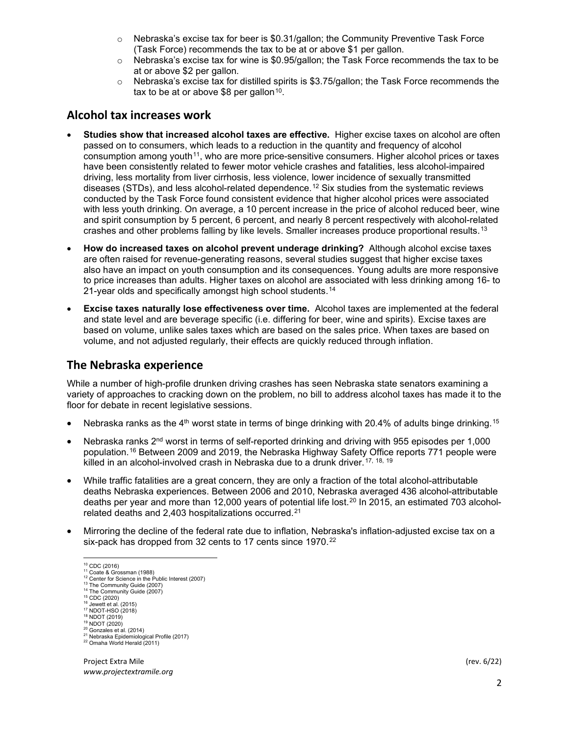- $\circ$  Nebraska's excise tax for beer is \$0.31/gallon; the Community Preventive Task Force (Task Force) recommends the tax to be at or above \$1 per gallon.
- $\circ$  Nebraska's excise tax for wine is \$0.95/gallon; the Task Force recommends the tax to be at or above \$2 per gallon.
- o Nebraska's excise tax for distilled spirits is \$3.75/gallon; the Task Force recommends the tax to be at or above \$8 per gallon<sup>[10](#page-1-0)</sup>.

### **Alcohol tax increases work**

- **Studies show that increased alcohol taxes are effective.** Higher excise taxes on alcohol are often passed on to consumers, which leads to a reduction in the quantity and frequency of alcohol consumption among youth<sup>[11](#page-1-1)</sup>, who are more price-sensitive consumers. Higher alcohol prices or taxes have been consistently related to fewer motor vehicle crashes and fatalities, less alcohol-impaired driving, less mortality from liver cirrhosis, less violence, lower incidence of sexually transmitted diseases (STDs), and less alcohol-related dependence.[12](#page-1-2) Six studies from the systematic reviews conducted by the Task Force found consistent evidence that higher alcohol prices were associated with less youth drinking. On average, a 10 percent increase in the price of alcohol reduced beer, wine and spirit consumption by 5 percent, 6 percent, and nearly 8 percent respectively with alcohol-related crashes and other problems falling by like levels. Smaller increases produce proportional results.<sup>[13](#page-1-3)</sup>
- **How do increased taxes on alcohol prevent underage drinking?** Although alcohol excise taxes are often raised for revenue-generating reasons, several studies suggest that higher excise taxes also have an impact on youth consumption and its consequences. Young adults are more responsive to price increases than adults. Higher taxes on alcohol are associated with less drinking among 16- to 21-year olds and specifically amongst high school students.<sup>[14](#page-1-4)</sup>
- **Excise taxes naturally lose effectiveness over time.** Alcohol taxes are implemented at the federal and state level and are beverage specific (i.e. differing for beer, wine and spirits). Excise taxes are based on volume, unlike sales taxes which are based on the sales price. When taxes are based on volume, and not adjusted regularly, their effects are quickly reduced through inflation.

#### **The Nebraska experience**

While a number of high-profile drunken driving crashes has seen Nebraska state senators examining a variety of approaches to cracking down on the problem, no bill to address alcohol taxes has made it to the floor for debate in recent legislative sessions.

- Nebraska ranks as the  $4<sup>th</sup>$  worst state in terms of binge drinking with 20.4% of adults binge drinking.<sup>[15](#page-1-5)</sup>
- Nebraska ranks  $2<sup>nd</sup>$  worst in terms of self-reported drinking and driving with 955 episodes per 1,000 population.[16](#page-1-6) Between 2009 and 2019, the Nebraska Highway Safety Office reports 771 people were killed in an alcohol-involved crash in Nebraska due to a drunk driver.<sup>[17](#page-1-7), [18](#page-1-8), [19](#page-1-9)</sup>
- While traffic fatalities are a great concern, they are only a fraction of the total alcohol-attributable deaths Nebraska experiences. Between 2006 and 2010, Nebraska averaged 436 alcohol-attributable deaths per year and more than 12,000 years of potential life lost.<sup>[20](#page-1-10)</sup> In 2015, an estimated 703 alcoholrelated deaths and 2,403 hospitalizations occurred.[21](#page-1-11)
- <span id="page-1-1"></span><span id="page-1-0"></span>• Mirroring the decline of the federal rate due to inflation, Nebraska's inflation-adjusted excise tax on a six-pack has dropped from 32 cents to 17 cents since 1970.<sup>[22](#page-1-12)</sup>

<sup>&</sup>lt;sup>10</sup> CDC (2016)<br>
<sup>12</sup> Coate & Grossman (1988)<br>
<sup>12</sup> Center for Science in the Public Interest (2007)<br>
<sup>13</sup> The Community Guide (2007)<br>
<sup>15</sup> The Community Guide (2007)<br>
<sup>15</sup> CDC (2020)<br>
<sup>16</sup> Jewett et al. (2015)<br>
<sup>16</sup> NDOT

<span id="page-1-5"></span><span id="page-1-4"></span><span id="page-1-3"></span><span id="page-1-2"></span>

<span id="page-1-7"></span><span id="page-1-6"></span>

<span id="page-1-12"></span><span id="page-1-11"></span><span id="page-1-10"></span><span id="page-1-9"></span><span id="page-1-8"></span>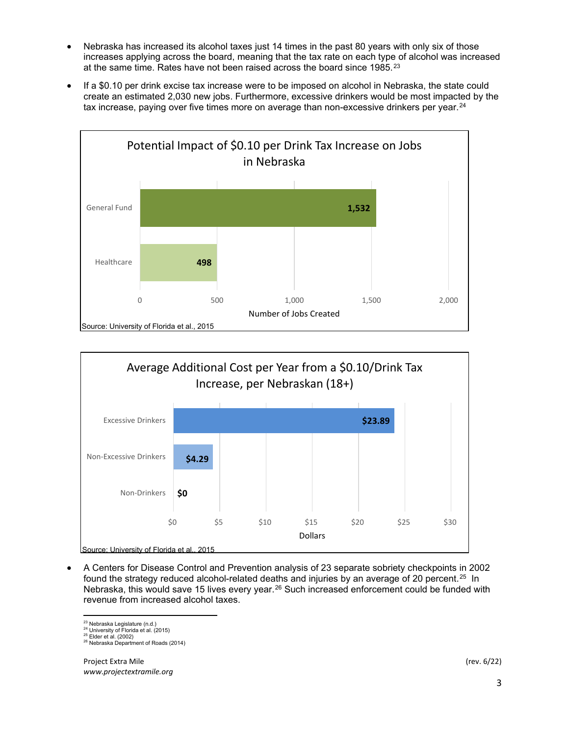- Nebraska has increased its alcohol taxes just 14 times in the past 80 years with only six of those increases applying across the board, meaning that the tax rate on each type of alcohol was increased at the same time. Rates have not been raised across the board since 1985.[23](#page-2-0)
- If a \$0.10 per drink excise tax increase were to be imposed on alcohol in Nebraska, the state could create an estimated 2,030 new jobs. Furthermore, excessive drinkers would be most impacted by the tax increase, paying over five times more on average than non-excessive drinkers per year. $24$





• A Centers for Disease Control and Prevention analysis of 23 separate sobriety checkpoints in 2002 found the strategy reduced alcohol-related deaths and injuries by an average of 20 percent.<sup>25</sup> In Nebraska, this would save 15 lives every year.<sup>[26](#page-2-3)</sup> Such increased enforcement could be funded with revenue from increased alcohol taxes.

<span id="page-2-3"></span><span id="page-2-2"></span>

<span id="page-2-1"></span><span id="page-2-0"></span><sup>&</sup>lt;sup>23</sup> Nebraska Legislature (n.d.)<br><sup>24</sup> University of Florida et al. (2015)<br><sup>25</sup> Elder et al. (2002)<br><sup>26</sup> Nebraska Department of Roads (2014)